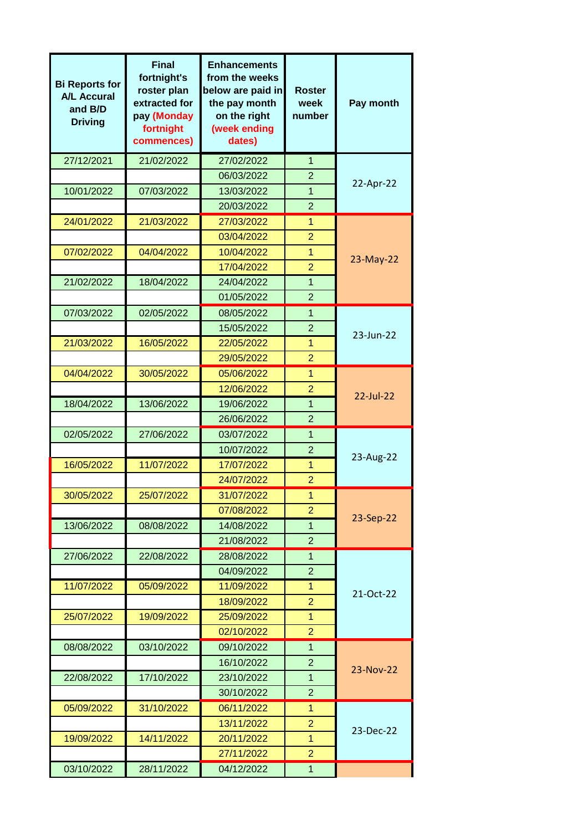| <b>Bi Reports for</b><br><b>A/L Accural</b><br>and B/D<br><b>Driving</b> | <b>Final</b><br>fortnight's<br>roster plan<br>extracted for<br>pay (Monday<br>fortnight<br>commences) | <b>Enhancements</b><br>from the weeks<br>below are paid in<br>the pay month<br>on the right<br>(week ending<br>dates) | <b>Roster</b><br>week<br>number | Pay month    |
|--------------------------------------------------------------------------|-------------------------------------------------------------------------------------------------------|-----------------------------------------------------------------------------------------------------------------------|---------------------------------|--------------|
| 27/12/2021                                                               | 21/02/2022                                                                                            | 27/02/2022                                                                                                            | 1                               |              |
|                                                                          |                                                                                                       | 06/03/2022                                                                                                            | $\overline{2}$                  | 22-Apr-22    |
| 10/01/2022                                                               | 07/03/2022                                                                                            | 13/03/2022                                                                                                            | 1                               |              |
|                                                                          |                                                                                                       | 20/03/2022                                                                                                            | $\overline{2}$                  |              |
| 24/01/2022                                                               | 21/03/2022                                                                                            | 27/03/2022                                                                                                            | $\mathbf{1}$                    |              |
|                                                                          |                                                                                                       | 03/04/2022                                                                                                            | $\overline{2}$                  | 23-May-22    |
| 07/02/2022                                                               | 04/04/2022                                                                                            | 10/04/2022                                                                                                            | 1                               |              |
|                                                                          |                                                                                                       | 17/04/2022                                                                                                            | $\overline{2}$                  |              |
| 21/02/2022                                                               | 18/04/2022                                                                                            | 24/04/2022                                                                                                            | 1                               |              |
|                                                                          |                                                                                                       | 01/05/2022                                                                                                            | $\overline{2}$                  |              |
| 07/03/2022                                                               | 02/05/2022                                                                                            | 08/05/2022                                                                                                            | $\mathbf{1}$                    |              |
|                                                                          |                                                                                                       | 15/05/2022                                                                                                            | $\overline{2}$                  | 23-Jun-22    |
| 21/03/2022                                                               | 16/05/2022                                                                                            | 22/05/2022                                                                                                            | $\mathbf{1}$                    |              |
|                                                                          |                                                                                                       | 29/05/2022                                                                                                            | $\overline{2}$                  |              |
| 04/04/2022                                                               | 30/05/2022                                                                                            | 05/06/2022                                                                                                            | $\mathbf{1}$                    | $22$ -Jul-22 |
|                                                                          |                                                                                                       | 12/06/2022                                                                                                            | $\overline{2}$                  |              |
| 18/04/2022                                                               | 13/06/2022                                                                                            | 19/06/2022                                                                                                            | 1                               |              |
|                                                                          |                                                                                                       | 26/06/2022                                                                                                            | $\overline{2}$                  |              |
| 02/05/2022                                                               | 27/06/2022                                                                                            | 03/07/2022                                                                                                            | $\mathbf{1}$                    | 23-Aug-22    |
| 16/05/2022                                                               | 11/07/2022                                                                                            | 10/07/2022<br>17/07/2022                                                                                              | $\overline{2}$<br>1             |              |
|                                                                          |                                                                                                       | 24/07/2022                                                                                                            | $\overline{2}$                  |              |
| 30/05/2022                                                               | 25/07/2022                                                                                            | 31/07/2022                                                                                                            | $\overline{1}$                  |              |
|                                                                          |                                                                                                       | 07/08/2022                                                                                                            | $\overline{2}$                  | 23-Sep-22    |
| 13/06/2022                                                               | 08/08/2022                                                                                            | 14/08/2022                                                                                                            | $\mathbf{1}$                    |              |
|                                                                          |                                                                                                       | 21/08/2022                                                                                                            | $\overline{2}$                  |              |
| 27/06/2022                                                               | 22/08/2022                                                                                            | 28/08/2022                                                                                                            | $\mathbf{1}$                    |              |
|                                                                          |                                                                                                       | 04/09/2022                                                                                                            | $\overline{2}$                  | 21-Oct-22    |
| 11/07/2022                                                               | 05/09/2022                                                                                            | 11/09/2022                                                                                                            | 1                               |              |
|                                                                          |                                                                                                       | 18/09/2022                                                                                                            | $\overline{2}$                  |              |
| 25/07/2022                                                               | 19/09/2022                                                                                            | 25/09/2022                                                                                                            | 1                               |              |
|                                                                          |                                                                                                       | 02/10/2022                                                                                                            | $\overline{2}$                  |              |
| 08/08/2022                                                               | 03/10/2022                                                                                            | 09/10/2022                                                                                                            | $\mathbf{1}$                    |              |
|                                                                          |                                                                                                       | 16/10/2022                                                                                                            | $\overline{2}$                  | 23-Nov-22    |
| 22/08/2022                                                               | 17/10/2022                                                                                            | 23/10/2022                                                                                                            | $\mathbf{1}$                    |              |
|                                                                          |                                                                                                       | 30/10/2022                                                                                                            | $\overline{2}$                  |              |
| 05/09/2022                                                               | 31/10/2022                                                                                            | 06/11/2022                                                                                                            | $\mathbf{1}$                    | 23-Dec-22    |
|                                                                          |                                                                                                       | 13/11/2022                                                                                                            | $\overline{2}$                  |              |
| 19/09/2022                                                               | 14/11/2022                                                                                            | 20/11/2022                                                                                                            | $\mathbf{1}$                    |              |
|                                                                          |                                                                                                       | 27/11/2022                                                                                                            | $\overline{2}$                  |              |
| 03/10/2022                                                               | 28/11/2022                                                                                            | 04/12/2022                                                                                                            | $\mathbf{1}$                    |              |